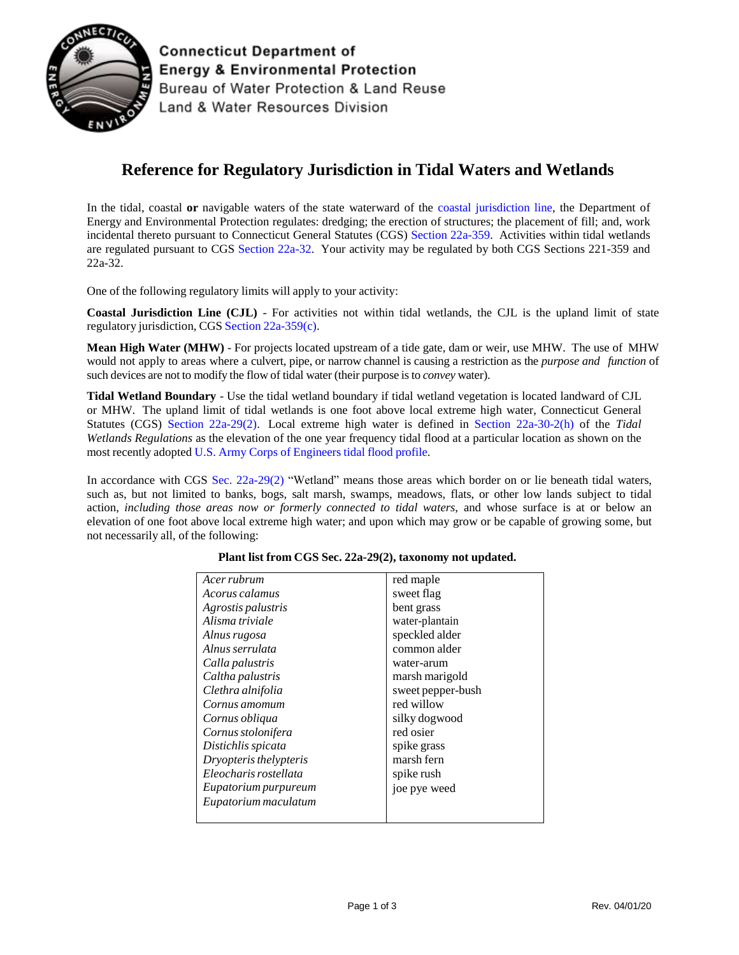

**Connecticut Department of Energy & Environmental Protection** Bureau of Water Protection & Land Reuse Land & Water Resources Division

## **Reference for Regulatory Jurisdiction in Tidal Waters and Wetlands**

In the tidal, coastal **or** navigable waters of the state waterward of the [coastal jurisdiction line,](https://portal.ct.gov/DEEP/Coastal-Resources/Coastal-Permitting/Coastal-Jurisdiction-Line-Fact-Sheet) the Department of Energy and Environmental Protection regulates: dredging; the erection of structures; the placement of fill; and, work incidental thereto pursuant to Connecticut General Statutes (CGS) Section [22a-359.](https://www.cga.ct.gov/current/pub/chap_446i.htm#sec_22a-359) Activities within tidal wetlands are regulated pursuant to CGS [Section](https://www.cga.ct.gov/current/pub/chap_440.htm#sec_22a-32) 22a-32. Your activity may be regulated by both CGS Sections 221-359 and 22a-32.

One of the following regulatory limits will apply to your activity:

**Coastal Jurisdiction Line (CJL)** - For activities not within tidal wetlands, the CJL is the upland limit of state regulatory jurisdiction, CGS Section [22a-359\(c\).](https://www.cga.ct.gov/current/pub/chap_446i.htm#sec_22a-359)

**Mean High Water (MHW)** - For projects located upstream of a tide gate, dam or weir, use MHW. The use of MHW would not apply to areas where a culvert, pipe, or narrow channel is causing a restriction as the *purpose and function* of such devices are not to modify the flow of tidal water (their purpose isto *convey* water).

**Tidal Wetland Boundary** - Use the tidal wetland boundary if tidal wetland vegetation is located landward of CJL or MHW. The upland limit of tidal wetlands is one foot above local extreme high water, Connecticut General Statutes (CGS) Section [22a-29\(2\).](https://www.cga.ct.gov/current/pub/chap_440.htm#sec_22a-29) Local extreme high water is defined in Section [22a-30-2\(h\)](https://eregulations.ct.gov/eRegsPortal/Browse/RCSA/Title_22aSubtitle_22a-30Section_22a-30-2/) of the *Tidal Wetlands Regulations* as the elevation of the one year frequency tidal flood at a particular location as shown on the most recently adopted U.S. Army Corps of [Engineers](https://www.fema.gov/media-library-data/1383243270931-eed96b0ca96641e6c0200ac996b63b7a/220602416_New_England_Tide_Report_2012_0326_FINAL.pdf) tidal flood profile.

In accordance with CGS Sec. [22a-29\(2\)](https://www.cga.ct.gov/current/pub/chap_440.htm#sec_22a-29) "Wetland" means those areas which border on or lie beneath tidal waters, such as, but not limited to banks, bogs, salt marsh, swamps, meadows, flats, or other low lands subject to tidal action, *including those areas now or formerly connected to tidal waters*, and whose surface is at or below an elevation of one foot above local extreme high water; and upon which may grow or be capable of growing some, but not necessarily all, of the following:

| Acer rubrum            | red maple         |
|------------------------|-------------------|
| Acorus calamus         | sweet flag        |
| Agrostis palustris     | bent grass        |
| Alisma triviale        | water-plantain    |
| Alnus rugosa           | speckled alder    |
| Alnus serrulata        | common alder      |
| Calla palustris        | water-arum        |
| Caltha palustris       | marsh marigold    |
| Clethra alnifolia      | sweet pepper-bush |
| Cornus amomum          | red willow        |
| Cornus obliqua         | silky dogwood     |
| Cornus stolonifera     | red osier         |
| Distichlis spicata     | spike grass       |
| Dryopteris thelypteris | marsh fern        |
| Eleocharis rostellata  | spike rush        |
| Eupatorium purpureum   | joe pye weed      |
| Eupatorium maculatum   |                   |
|                        |                   |

## **Plant list from CGS Sec. 22a-29(2), taxonomy not updated.**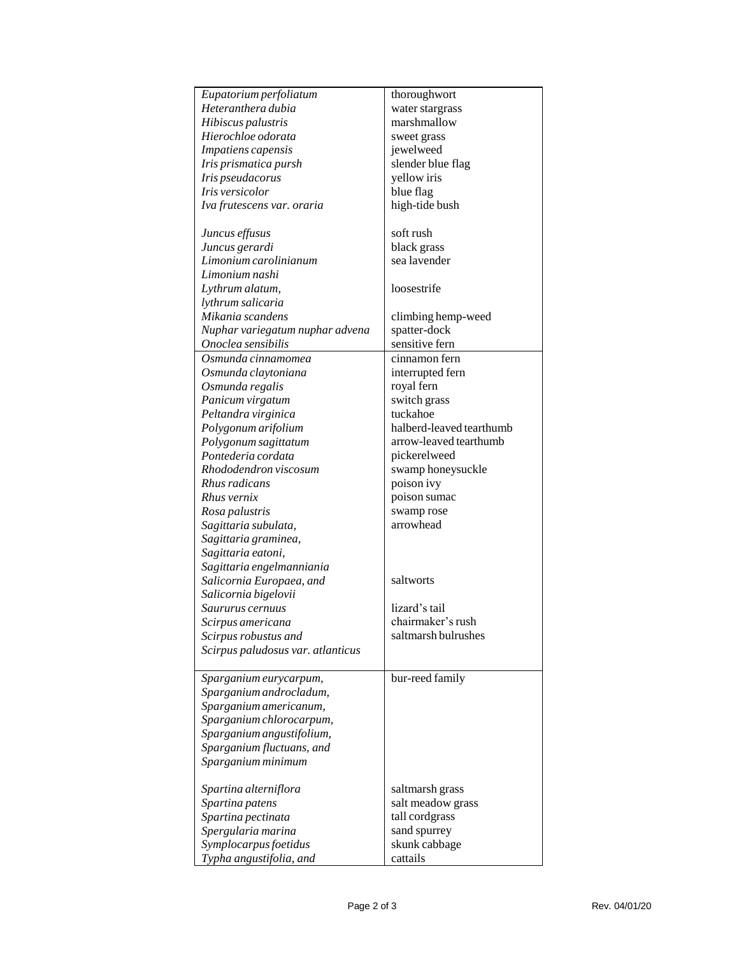| Eupatorium perfoliatum            | thoroughwort             |
|-----------------------------------|--------------------------|
| Heteranthera dubia                | water stargrass          |
| Hibiscus palustris                | marshmallow              |
| Hierochloe odorata                | sweet grass              |
| Impatiens capensis                | jewelweed                |
| Iris prismatica pursh             | slender blue flag        |
| Iris pseudacorus                  | yellow iris              |
| Iris versicolor                   | blue flag                |
| Iva frutescens var. oraria        | high-tide bush           |
|                                   | soft rush                |
| Juncus effusus                    |                          |
| Juncus gerardi                    | black grass              |
| Limonium carolinianum             | sea lavender             |
| Limonium nashi                    |                          |
| Lythrum alatum,                   | loosestrife              |
| lythrum salicaria                 |                          |
| Mikania scandens                  | climbing hemp-weed       |
| Nuphar variegatum nuphar advena   | spatter-dock             |
| Onoclea sensibilis                | sensitive fern           |
| Osmunda cinnamomea                | cinnamon fern            |
| Osmunda claytoniana               | interrupted fern         |
| Osmunda regalis                   | royal fern               |
| Panicum virgatum                  | switch grass             |
| Peltandra virginica               | tuckahoe                 |
| Polygonum arifolium               | halberd-leaved tearthumb |
| Polygonum sagittatum              | arrow-leaved tearthumb   |
| Pontederia cordata                | pickerelweed             |
| Rhododendron viscosum             | swamp honeysuckle        |
| Rhus radicans                     | poison ivy               |
| Rhus vernix                       | poison sumac             |
| Rosa palustris                    | swamp rose               |
| Sagittaria subulata,              | arrowhead                |
| Sagittaria graminea,              |                          |
| Sagittaria eatoni,                |                          |
| Sagittaria engelmanniania         |                          |
| Salicornia Europaea, and          | saltworts                |
| Salicornia bigelovii              |                          |
| Saururus cernuus                  | lizard's tail            |
| Scirpus americana                 | chairmaker's rush        |
| Scirpus robustus and              | saltmarsh bulrushes      |
| Scirpus paludosus var. atlanticus |                          |
|                                   |                          |
| Sparganium eurycarpum,            | bur-reed family          |
| Sparganium androcladum,           |                          |
| Sparganium americanum,            |                          |
| Sparganium chlorocarpum,          |                          |
| Sparganium angustifolium,         |                          |
| Sparganium fluctuans, and         |                          |
| Sparganium minimum                |                          |
|                                   |                          |
| Spartina alterniflora             | saltmarsh grass          |
| Spartina patens                   | salt meadow grass        |
| Spartina pectinata                | tall cordgrass           |
| Spergularia marina                | sand spurrey             |
| Symplocarpus foetidus             | skunk cabbage            |
| Typha angustifolia, and           | cattails                 |